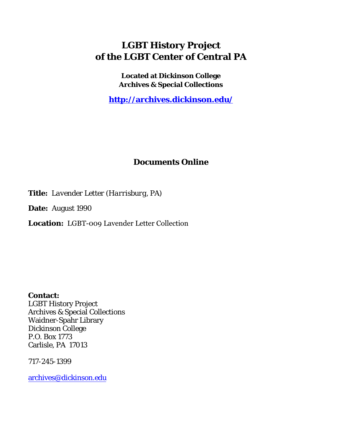# **LGBT History Project of the LGBT Center of Central PA**

**Located at Dickinson College Archives & Special Collections**

**<http://archives.dickinson.edu/>**

## **Documents Online**

**Title:** *Lavender Letter (Harrisburg, PA)*

**Date:** August 1990

**Location:** LGBT-009 Lavender Letter Collection

**Contact:**  LGBT History Project Archives & Special Collections Waidner-Spahr Library Dickinson College P.O. Box 1773 Carlisle, PA 17013

717-245-1399

[archives@dickinson.edu](mailto:archives@dickinson.edu)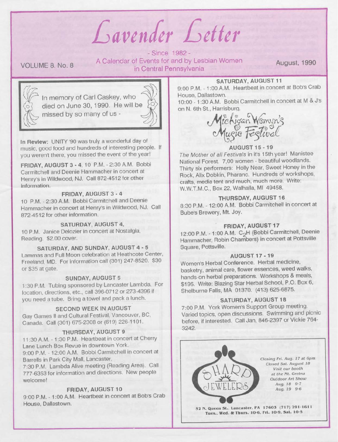*Guven/er Getter*

### VOLUME 8. No. 8

- Since 1982 - A Calendar of Events for and by Lesbian Women in Central Pennsylvania

August, 1990



In memory of Carl Caskey, who died on June 30, 1990. He will be missed by so many of us -



**In Review:** UNITY '90 was truly a wonderful day of music, good food and hundreds of interesting people. If you weren't there, you missed the event of the year!

**FRIDAY, AUGUST 3 - 4,** 10 P.M. - 2:30 A.M. Bobbi Carmitchell and Deenie Hammacher in concert at Henry's in Wildwood, NJ. Call 872-4512 for other information.

#### **FRIDAY, AUGUST 3 - 4**

10 P.M. - 2:30 A.M. Bobbi Carmitchell and Deenie Hammacher in concert at Henry's in Wildwood, NJ. Call 872-4512 for other information.

#### **SATURDAY, AUGUST 4,**

10 P.M. Janice Delozier in concert at Nostalgia, Reading. \$2.00 cover.

#### **SATURDAY, AND SUNDAY, AUGUST 4 - 5**

Lammas and Full Moon celebration at Heathcote Center, Freeland, MD. For information call (301) 247-8520. \$30 or \$35 at gate.

#### **SUNDAY, AUGUST 5**

1:30 P.M. Tubing sponsored by Lancaster Lambda. For location, directions, etc., call 396-0712 or 273-4396 if you need a tube. Bring a towel and pack a lunch.

#### **SECOND WEEK IN AUGUST**

Gay Games II and Cultural Festival, Vancouver, BC, Canada. Call (301) 675-2308 or (619) 226-1101.

#### **THURSDAY, AUGUST 9**

11:30 A.M. -1:30 P.M. Heartbeat in concert at Cherry Lane Lunch Box Revue in downtown York. 9:00 P.M. -12:00 A.M. Bobbi Carmitchell in concert at

Barrells in Park City Mall, Lancaster. 7:30 P.M. Lambda Alive meeting (Reading Area). Call 777-6353 for information and directions. New people welcome!

#### **FRIDAY, AUGUST 10**

9:00 P.M. - 1:00 A.M. Heartbeat in concert at Bob's Crab House, Dallastown.

#### **SATURDAY, AUGUST 11**

9:00 P.M. -1:00 A.M. Heartbeat in concert at Bob's Crab House, Dallastown.

10:00 -1:30 A.M. Bobbi Carmitchell in concert at <sup>M</sup> & J's on N. 6th St., Harrisburg.



#### **AUGUST 15 -19**

*The Mother of all Festivals* in it's 15th year! Manistee National Forest. 7,00 women - beautiful woodlands. Thirty six performers: Holly Near, Sweet Honey in the Rock, Alix Dobkin, Pharanc. Hundreds of workshops, crafts, media tent and much, much more. Write: W.W.T.M.C., Box 22, Walhalla, Ml 49458.

#### **THURSDAY, AUGUST 16**

8:30 P.M. -12:00 A.M. Bobbi Carmitchell in concert at Bube's Brewery, Mt. Joy.

#### **FRIDAY, AUGUST 17**

12:00 P.M. -1:00 A.M. C2<sup>H</sup> (Bobbi Carmitchell, Deenie Hammacher, Robin Chambers) in concert at Pottsville Square, Pottsville.

#### **AUGUST 17-19**

Women's Herbal Conference. Herbal medicine, basketry, animal care, flower essences, weed walks, hands-on herbal preparations. Workshops & meals, \$195. Write: Blazing Star Herbal School, P.O. Box 6, Shelburne Falls, MA 01370. (413) 625-6875.

#### **SATURDAY, AUGUST 18**

7:00 P.M. York Women's Support Group meeting. Varied topics, open discussions. Swimming and picnic before, if interested. Call Jan, 846-2397 or Vickie 764- 3242.

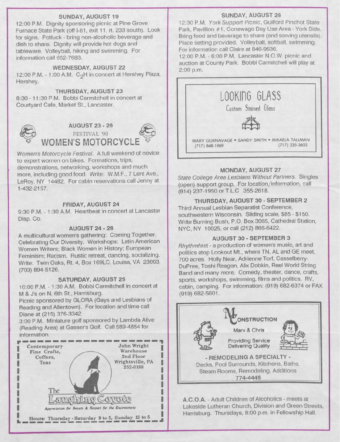#### **SUNDAY, AUGUST 19**

12:00 P.M. Dignity sponsoring picnic at Pine Grove Furnace State Park (off 1-81, exit 11, rt. 233 south). Look for signs. Potluck - bring non-alcoholic beverage and dish to share. Dignity will provide hot dogs and tableware. Volleyball, hiking and swimming. For information call 652-7683.

#### **WEDNESDAY, AUGUST 22**

12:00 P.M. - 1:00 A.M. C<sub>2</sub>H in concert at Hershey Plaza, Hershey.

#### **THURSDAY, AUGUST 23**

8:30 -11:30 P.M. Bobbi Carmitchell in concert at Courtyard Cafe, Market St., Lancaster.



**AUGUST 23 - 26** FESTIVAL '90 <sup>&</sup>lt; WOMEN'S MOTORCYC

*Women's Motorcycle Festival.* A full weekend of novice to expert women on bikes. Formations, trips, demonstrations, networking, workshops and much more, including good food. Write: W.M.F., 7 Lent Ave., LeRoy, NY 14482. For cabin reservations call Jenny at 1-432-2157.

#### **FRIDAY, AUGUST 24**

9:30 P.M. -1:30 A.M. Heartbeat in concert at Lancaster Disp. Co.

#### **AUGUST 24 - 26**

A multicultural women's gathering: Coming Together, Celebrating Our Diversity. Workshops: Latin American Women Writers; Black Women in History; European Feminism; Racism. Rustic retreat, dancing, socializing. Write: Twin Oaks, Rt. 4, Box 169LC, Louisa, VA 23093. (703) 894-5126.

#### **SATURDAY, AUGUST 25**

10:00 P.M. -1:30 A.M. Bobbi Carmitchell in concert at M & J's on N. 6th St., Harrisburg.

Picnic sponsored by GLORA (Gays and Lesbians of Reading and Allentown). For location and time call Diane at (215) 376-3342.

3:00 P.M. Miniature golf sponsored by Lambda Alive (Reading Area) at Gasser's Golf. Call 589-4854 for information.



#### **SUNDAY, AUGUST 26**

12:30 P.M. *York Support Picnic,* Guilford Pinchot State Park, Pavillion #1, Conewago Day Use Area - York Side. Bring food and beverage to share (and serving utensils). Place setting provided. Volleyball, softball, swimming. For information call Claire at 846-9636.

12:00 P.M. - 6:00 P.M. Lancaster N.O.W. picnic and auction at County Park. Bobbi Carmitchell will play at 2:00 p.m.



#### **MONDAY, AUGUST 27**

*State College Area Lesbians Without Partners.* Singles (open) support group. For location/information, call (814) 237-1950 or T.L.C 355-2618.

## **THURSDAY, AUGUST 30 - SEPTEMBER 2**

Third Annual Lesbian Separatist Conference, southwestern Wisconsin. Sliding scale, \$85 - \$150. Write Burning Bush, P.O. Box 3065, Cathedral Station, NYC, NY 10025, or call (212) 866-6422.

#### **AUGUST 30 - SEPTEMBER 3**

*Rhythmfest* - a production of women's music, art and politics atop Lookout Mt., where TN, AL and GE meet. 700 acres. Holly Near, Adrienne Torf, Casselberry-DuPree, Toshi Reagon, Alix Dobkin, Reel World String Band and many more. Comedy, theater, dance, crafts, sports, workshops, swimming, films and politics. RV, cabin, camping. For information: (919) 682-6374 or FAX (919) 682-5601.



**A.C.O.A.** - Adult Children of Alcoholics - meets at Lakeside Lutheran Church, Division and Green Streets, Harrisburg. Thursdays, 8:00 p.m. in Fellowship Hall.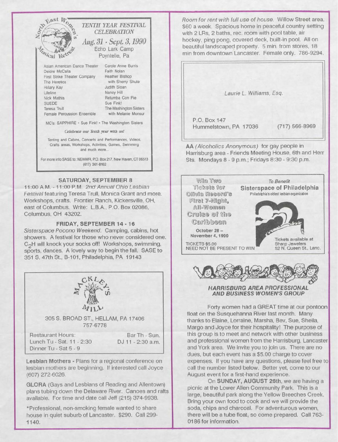

#### **SATURDAY, SEPTEMBER 8**

11 :OO A.M. -11 :OO P.M. *2nd Annual Ohio Lesbian Festival* featuring Teresa Trull, Monica Grant and more. Workshops, crafts. Frontier Ranch, Kickersville, OH, east of Columbus. Write: L.B.A., P.O. Box 02086, Columbus, OH 43202.

#### **FRIDAY, SEPTEMBER 14-16**

*Sisterspace Pocono Weekend.* Camping, cabins, hot showers. A festival for those who never considered one. C<sub>2</sub>H will knock your socks off! Workshops, swimming, sports, dances. A lovely way to begin the fall. SASE to 351 S. 47th St., B-101, Philadelphia, PA 19143



305 S. BROAD ST., HELLAM, PA 17406 757-6778

Restaurant Hours: Lunch Tu - Sat. 11 - 2:30 Dinner Tu - Sat 5 - 9

Bar Th - Sun. DJ <sup>11</sup> -2:30 a.m.

**Lesbian Mothers -** Plans for a regional conference on lesbian mothers are beginning. If interested call Joyce (607) 272-6026.

**GLORA** (Gays and Lesbians of Reading and Allentown) plans tubing down the Delaware River. Canoes and rafts available. For time and date call Jeff (215) 374-9938.

'Professional, non-smoking female wanted to share house in quiet suburb of Lancaster. \$290. Call 299- 1140.

*Room for rent with full use of house.* Willow Street area. \$60 a week. Spacious home in peaceful country setting with 2 LRs, 2 baths, rec. room with pool table, air hockey, ping pong, covered deck, built-in pool. All on beautiful landscaped property. 5 min. from stores, 18 min from downtown Lancaster. Female only. 786-9294.

*Laurie L. Williams, Esq.*

P.O. Box 147 Hummelstown, PA 17036 (717) 566-8969

AA *(Alcoholics Anonymous)* for gay people in Harrisburg area - Friends Meeting House, 6th and Herr Sts. Mondays 8 - 9 p.m.; Fridays 8:30 - 9:30 p.m.





*HARRISBURG AREA PROFESSIONAL AND BUSINESS WOMEN'S GROUP*

Forty women had a GREAT time at our pontoon float on the Susquehanna River last month. Many thanks to Elaine, Lorraine, Marsha, Bev, Sue, Sheila, Margo and Joyce for their hospitality! The purpose of this group is to meet and network with other business and professional women from the Harrisburg, Lancaster and York area. We invite you to join us. There are no dues, but each event has a \$5.00 charge to cover expenses. If you have any questions, please feel free to call the number listed below. Better yet, come to our August event for a first-hand experience.

On **SUNDAY, AUGUST 26th,** we are having a picnic at the Lower Allen Community Park. This is a large, beautiful park along the Yellow Breeches Creek. Bring your own food to cook and we will provide the soda, chips and charcoal. For adventurous women, there will be a tube float, so come prepared. Call 763- 0186 for information.